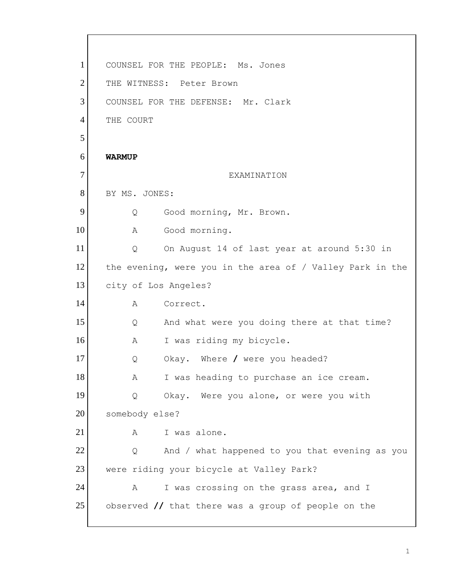1 2 3 4 5 6 7 8 9 10 11 12 13 14 15 16 17 18 19 20 21 22 23 24 25 COUNSEL FOR THE PEOPLE: Ms. Jones THE WITNESS: Peter Brown COUNSEL FOR THE DEFENSE: Mr. Clark THE COURT **WARMUP**  EXAMINATION BY MS. JONES: Q Good morning, Mr. Brown. A Good morning. Q On August 14 of last year at around 5:30 in the evening, were you in the area of / Valley Park in the city of Los Angeles? A Correct. Q And what were you doing there at that time? A I was riding my bicycle. Q Okay. Where **/** were you headed? A I was heading to purchase an ice cream. Q Okay. Were you alone, or were you with somebody else? A I was alone. Q And / what happened to you that evening as you were riding your bicycle at Valley Park? A I was crossing on the grass area, and I observed **//** that there was a group of people on the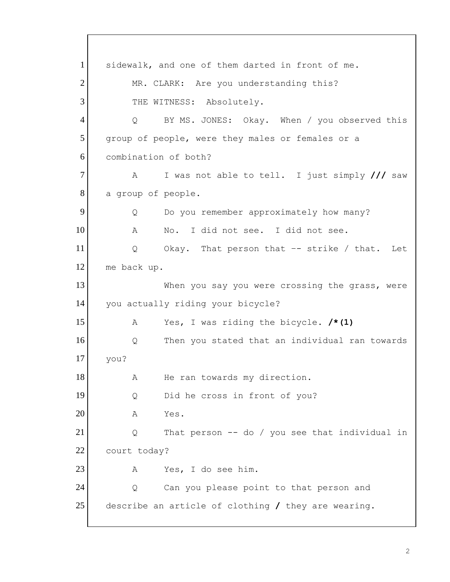1 2 3 4 5 6 7 8 9 10 11 12 13 14 15 16 17 18 19 20 21 22 23 24 25 sidewalk, and one of them darted in front of me. MR. CLARK: Are you understanding this? THE WITNESS: Absolutely. Q BY MS. JONES: Okay. When / you observed this group of people, were they males or females or a combination of both? A I was not able to tell. I just simply **///** saw a group of people. Q Do you remember approximately how many? A No. I did not see. I did not see. Q Okay. That person that –- strike / that. Let me back up. When you say you were crossing the grass, were you actually riding your bicycle? A Yes, I was riding the bicycle. **/\*(1)**  Q Then you stated that an individual ran towards you? A He ran towards my direction. Q Did he cross in front of you? A Yes. Q That person -- do / you see that individual in court today? A Yes, I do see him. Q Can you please point to that person and describe an article of clothing **/** they are wearing.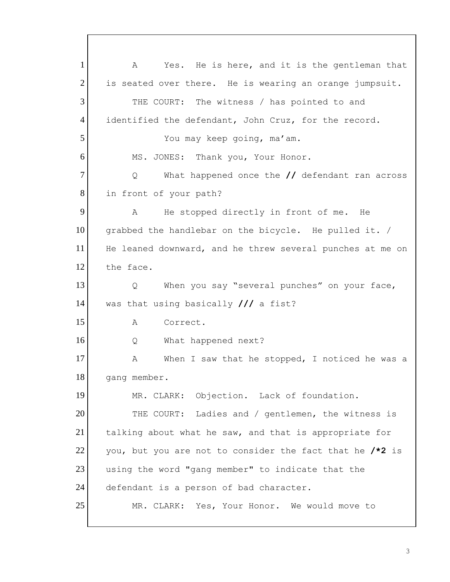grabbed the handlebar on the bicycle. He pulled it. / 1 2 3 4 5 6 7 8 9 10 11 12 13 14 15 16 17 18 19 20 21 22 23 24 25 A Yes. He is here, and it is the gentleman that is seated over there. He is wearing an orange jumpsuit. THE COURT: The witness / has pointed to and identified the defendant, John Cruz, for the record. You may keep going, ma'am. MS. JONES: Thank you, Your Honor. Q What happened once the **//** defendant ran across in front of your path? A He stopped directly in front of me. He He leaned downward, and he threw several punches at me on the face. Q When you say "several punches" on your face, was that using basically **///** a fist? A Correct. Q What happened next? A When I saw that he stopped, I noticed he was a gang member. MR. CLARK: Objection. Lack of foundation. THE COURT: Ladies and / gentlemen, the witness is talking about what he saw, and that is appropriate for you, but you are not to consider the fact that he **/\*2** is using the word "gang member" to indicate that the defendant is a person of bad character. MR. CLARK: Yes, Your Honor. We would move to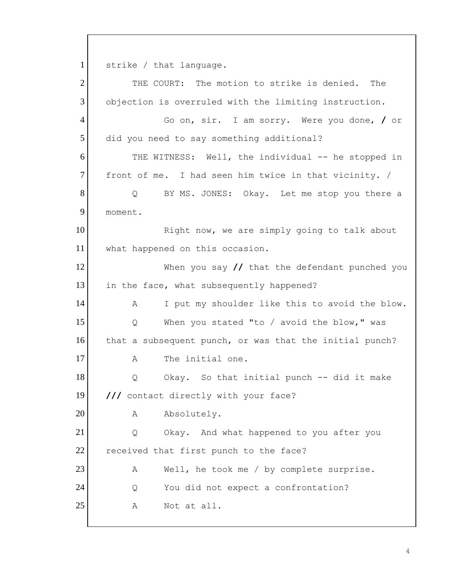1 strike / that language.

2 3 4 5 6 7 8 9 10 11 12 13 14 15 16 17 18 19 20 21 22 23 24 25 THE COURT: The motion to strike is denied. The objection is overruled with the limiting instruction. Go on, sir. I am sorry. Were you done, **/** or did you need to say something additional? THE WITNESS: Well, the individual -- he stopped in front of me. I had seen him twice in that vicinity. / Q BY MS. JONES: Okay. Let me stop you there a moment. Right now, we are simply going to talk about what happened on this occasion. When you say **//** that the defendant punched you in the face, what subsequently happened? A I put my shoulder like this to avoid the blow. Q When you stated "to / avoid the blow," was that a subsequent punch, or was that the initial punch? A The initial one. Q Okay. So that initial punch -- did it make **///** contact directly with your face? A Absolutely. Q Okay. And what happened to you after you received that first punch to the face? A Well, he took me / by complete surprise. Q You did not expect a confrontation? A Not at all.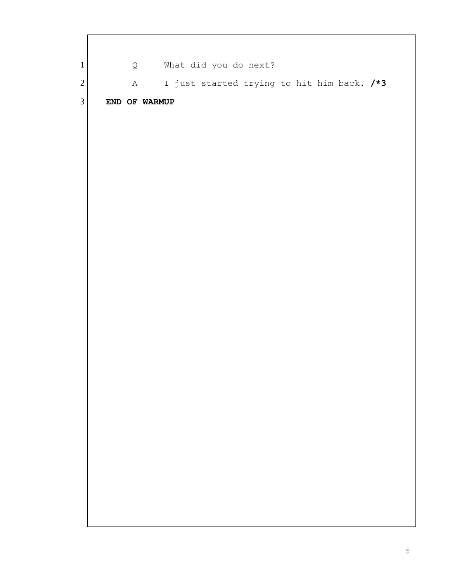| $\mathbf{1}$   |  |               |  | Q What did you do next? |  |  |                                            |  |
|----------------|--|---------------|--|-------------------------|--|--|--------------------------------------------|--|
| $\sqrt{2}$     |  | A             |  |                         |  |  | I just started trying to hit him back. /*3 |  |
| $\mathfrak{Z}$ |  | END OF WARMUP |  |                         |  |  |                                            |  |
|                |  |               |  |                         |  |  |                                            |  |
|                |  |               |  |                         |  |  |                                            |  |
|                |  |               |  |                         |  |  |                                            |  |
|                |  |               |  |                         |  |  |                                            |  |
|                |  |               |  |                         |  |  |                                            |  |
|                |  |               |  |                         |  |  |                                            |  |
|                |  |               |  |                         |  |  |                                            |  |
|                |  |               |  |                         |  |  |                                            |  |
|                |  |               |  |                         |  |  |                                            |  |
|                |  |               |  |                         |  |  |                                            |  |
|                |  |               |  |                         |  |  |                                            |  |
|                |  |               |  |                         |  |  |                                            |  |
|                |  |               |  |                         |  |  |                                            |  |
|                |  |               |  |                         |  |  |                                            |  |
|                |  |               |  |                         |  |  |                                            |  |
|                |  |               |  |                         |  |  |                                            |  |
|                |  |               |  |                         |  |  |                                            |  |
|                |  |               |  |                         |  |  |                                            |  |
|                |  |               |  |                         |  |  |                                            |  |
|                |  |               |  |                         |  |  |                                            |  |
|                |  |               |  |                         |  |  |                                            |  |
|                |  |               |  |                         |  |  |                                            |  |
|                |  |               |  |                         |  |  |                                            |  |
|                |  |               |  |                         |  |  |                                            |  |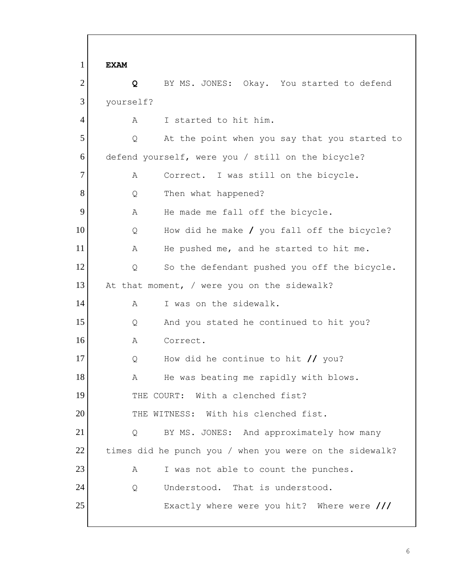1 2 3 4 5 6 7 8 9 10 11 12 13 14 15 16 17 18 19 20 21 22 23 24 25 **EXAM Q** BY MS. JONES: Okay. You started to defend yourself? A I started to hit him. Q At the point when you say that you started to defend yourself, were you / still on the bicycle? A Correct. I was still on the bicycle. Q Then what happened? A He made me fall off the bicycle. Q How did he make **/** you fall off the bicycle? A He pushed me, and he started to hit me. Q So the defendant pushed you off the bicycle. At that moment, / were you on the sidewalk? A I was on the sidewalk. Q And you stated he continued to hit you? A Correct. Q How did he continue to hit **//** you? A He was beating me rapidly with blows. THE COURT: With a clenched fist? THE WITNESS: With his clenched fist. Q BY MS. JONES: And approximately how many times did he punch you / when you were on the sidewalk? A I was not able to count the punches. Q Understood. That is understood. Exactly where were you hit? Where were **///**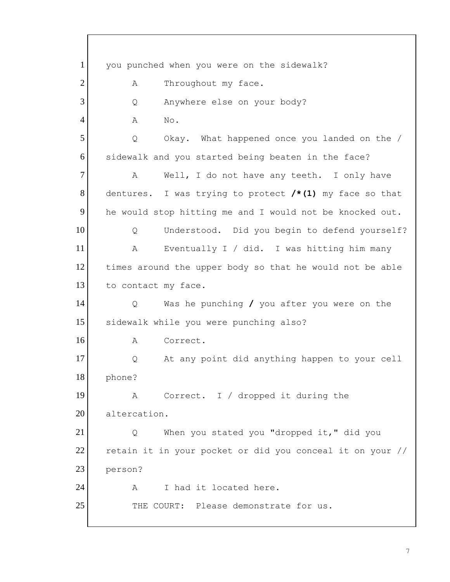1 2 3 4 5 6 7 8 9 10 11 12 13 14 15 16 17 18 19 20 21 22 23 24 25 you punched when you were on the sidewalk? A Throughout my face. Q Anywhere else on your body? A No. Q Okay. What happened once you landed on the / sidewalk and you started being beaten in the face? A Well, I do not have any teeth. I only have dentures. I was trying to protect **/\*(1)** my face so that he would stop hitting me and I would not be knocked out. Q Understood. Did you begin to defend yourself? A Eventually I / did. I was hitting him many times around the upper body so that he would not be able to contact my face. Q Was he punching **/** you after you were on the sidewalk while you were punching also? A Correct. Q At any point did anything happen to your cell phone? A Correct. I / dropped it during the altercation. Q When you stated you "dropped it," did you retain it in your pocket or did you conceal it on your // person? A I had it located here. THE COURT: Please demonstrate for us.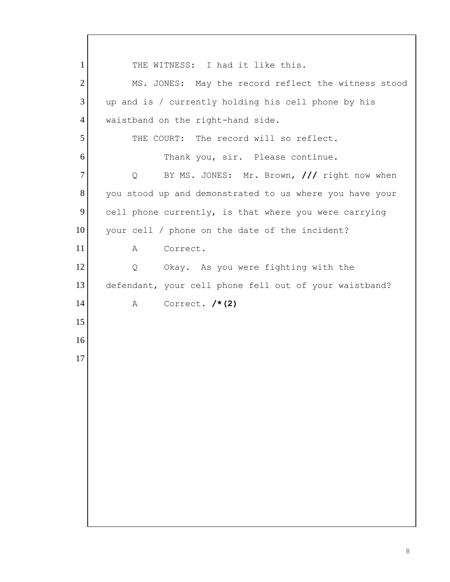1 2 3 4 5 6 7 8 9 10 11 12 13 14 15 16 17 THE WITNESS: I had it like this. MS. JONES: May the record reflect the witness stood up and is / currently holding his cell phone by his waistband on the right-hand side. THE COURT: The record will so reflect. Thank you, sir. Please continue. Q BY MS. JONES: Mr. Brown, **///** right now when you stood up and demonstrated to us where you have your cell phone currently, is that where you were carrying your cell / phone on the date of the incident? A Correct. Q Okay. As you were fighting with the defendant, your cell phone fell out of your waistband? A Correct. **/\*(2)**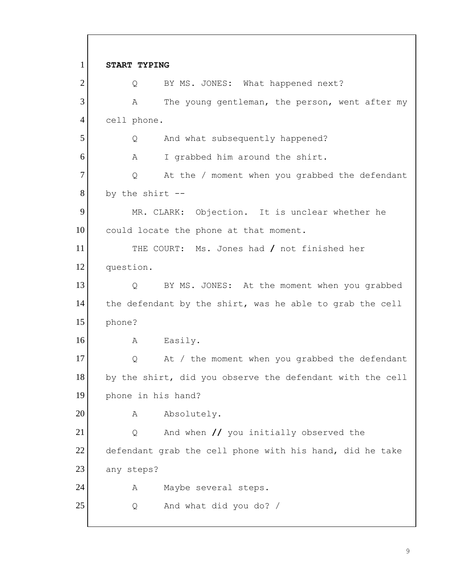1 2 3 4 5 6 7 8 9 10 11 12 13 14 15 16 17 18 19 20 21 22 23 24 25 **START TYPING**  Q BY MS. JONES**:** What happened next? A The young gentleman, the person, went after my cell phone. Q And what subsequently happened? A I grabbed him around the shirt. Q At the / moment when you grabbed the defendant by the shirt -- MR. CLARK: Objection. It is unclear whether he could locate the phone at that moment. THE COURT: Ms. Jones had **/** not finished her question. Q BY MS. JONES: At the moment when you grabbed the defendant by the shirt, was he able to grab the cell phone? A Easily. Q At / the moment when you grabbed the defendant by the shirt, did you observe the defendant with the cell phone in his hand? A Absolutely. Q And when **//** you initially observed the defendant grab the cell phone with his hand, did he take any steps? A Maybe several steps. Q And what did you do? /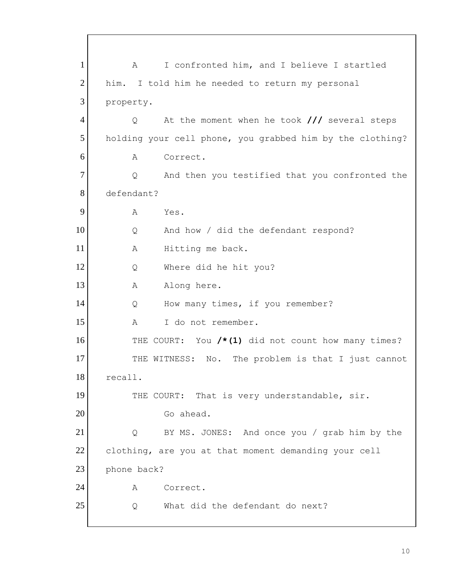1 2 3 4 5 6 7 8 9 10 11 12 13 14 15 16 17 18 19 20 21 22 23 24 25 A I confronted him, and I believe I startled him. I told him he needed to return my personal property. Q At the moment when he took **///** several steps holding your cell phone, you grabbed him by the clothing? A Correct. Q And then you testified that you confronted the defendant? A Yes. Q And how / did the defendant respond? A Hitting me back. Q Where did he hit you? A Along here. Q How many times, if you remember? A I do not remember. THE COURT: You **/\*(1)** did not count how many times? THE WITNESS: No. The problem is that I just cannot recall. THE COURT: That is very understandable, sir. Go ahead. Q BY MS. JONES: And once you / grab him by the clothing, are you at that moment demanding your cell phone back? A Correct. Q What did the defendant do next?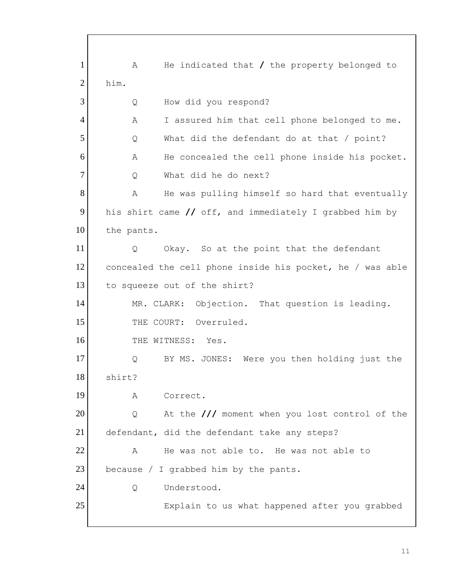1 2 3 4 5 6 7 8 9 10 11 12 13 14 15 16 17 18 19 20 21 22 23 24 25 A He indicated that **/** the property belonged to him. Q How did you respond? A I assured him that cell phone belonged to me. Q What did the defendant do at that / point? A He concealed the cell phone inside his pocket. Q What did he do next? A He was pulling himself so hard that eventually his shirt came **//** off, and immediately I grabbed him by the pants. Q Okay. So at the point that the defendant concealed the cell phone inside his pocket, he / was able to squeeze out of the shirt? MR. CLARK: Objection. That question is leading. THE COURT: Overruled. THE WITNESS: Yes. Q BY MS. JONES: Were you then holding just the shirt? A Correct. Q At the **///** moment when you lost control of the defendant, did the defendant take any steps? A He was not able to. He was not able to because / I grabbed him by the pants. Q Understood. Explain to us what happened after you grabbed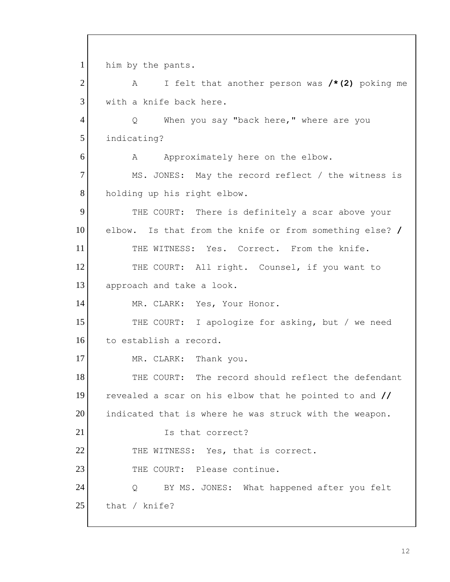elbow. Is that from the knife or from something else? **/** 1 2 3 4 5 6 7 8 9 10 11 12 13 14 15 16 17 18 19 20 21 22 23 24 25 him by the pants. A I felt that another person was **/\*(2)** poking me with a knife back here. Q When you say "back here," where are you indicating? A Approximately here on the elbow. MS. JONES: May the record reflect / the witness is holding up his right elbow.<br>THE COURT: There is definitely a scar above your THE WITNESS: Yes. Correct. From the knife. THE COURT: All right. Counsel, if you want to approach and take a look. MR. CLARK: Yes, Your Honor. THE COURT: I apologize for asking, but / we need to establish a record. MR. CLARK: Thank you. THE COURT: The record should reflect the defendant revealed a scar on his elbow that he pointed to and **//**  indicated that is where he was struck with the weapon. Is that correct? THE WITNESS: Yes, that is correct. THE COURT: Please continue. Q BY MS. JONES: What happened after you felt that / knife?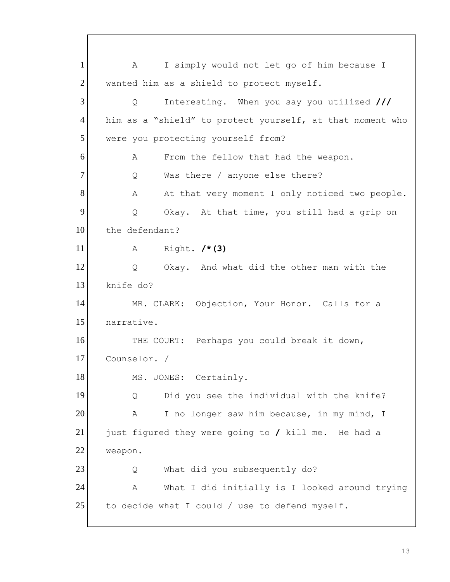1 2 3 4 5 6 7 8 9 10 11 12 13 14 15 16 17 18 19 20 21 22 23 24 25 A I simply would not let go of him because I wanted him as a shield to protect myself. Q Interesting. When you say you utilized **///**  him as a "shield" to protect yourself, at that moment who were you protecting yourself from? A From the fellow that had the weapon. Q Was there / anyone else there? A At that very moment I only noticed two people. Q Okay. At that time, you still had a grip on the defendant? A Right. **/\*(3)**  Q Okay. And what did the other man with the knife do? MR. CLARK: Objection, Your Honor. Calls for a narrative. THE COURT: Perhaps you could break it down, Counselor. / MS. JONES: Certainly. Q Did you see the individual with the knife? A I no longer saw him because, in my mind, I just figured they were going to **/** kill me. He had a weapon. Q What did you subsequently do? A What I did initially is I looked around trying to decide what I could / use to defend myself.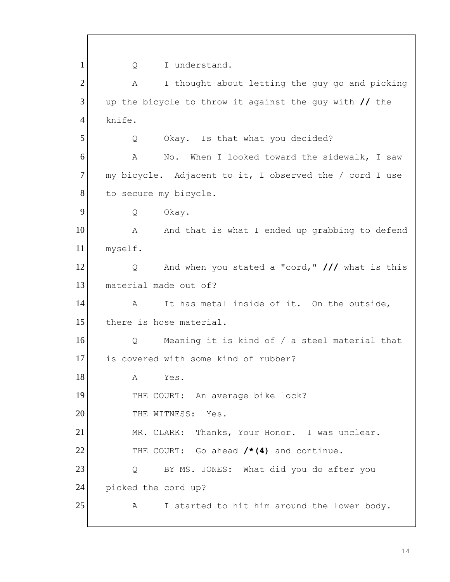1 2 3 4 5 6 7 8 9 10 11 12 13 14 15 16 17 18 19 20 21 22 23 24 25 Q I understand. A I thought about letting the guy go and picking up the bicycle to throw it against the guy with **//** the knife. Q Okay. Is that what you decided? A No. When I looked toward the sidewalk, I saw my bicycle. Adjacent to it, I observed the / cord I use to secure my bicycle. Q Okay. A And that is what I ended up grabbing to defend myself. Q And when you stated a "cord," **///** what is this material made out of? A It has metal inside of it. On the outside, there is hose material. Q Meaning it is kind of / a steel material that is covered with some kind of rubber? A Yes. THE COURT: An average bike lock? THE WITNESS: Yes. MR. CLARK: Thanks, Your Honor. I was unclear. THE COURT: Go ahead **/\*(4)** and continue.<br>Q BY MS. JONES: What did you do after you picked the cord up? A I started to hit him around the lower body.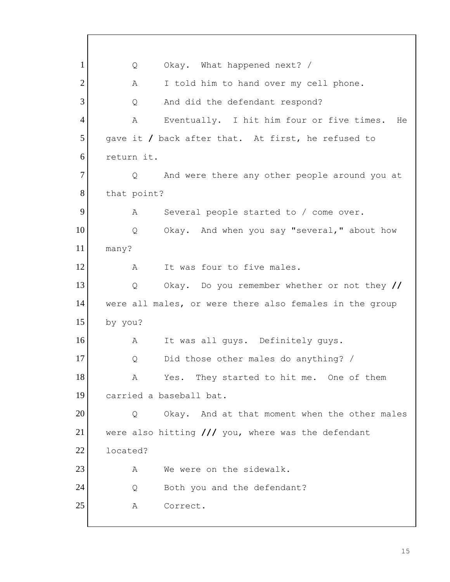1 2 3 4 5 6 7 8 9 10 11 12 13 14 15 16 17 18 19 20 21 22 23 24 25 Q Okay. What happened next? / A I told him to hand over my cell phone. Q And did the defendant respond? A Eventually. I hit him four or five times. He gave it **/** back after that. At first, he refused to return it. Q And were there any other people around you at that point? A Several people started to / come over. Q Okay. And when you say "several," about how many? A It was four to five males. Q Okay. Do you remember whether or not they **//**  were all males, or were there also females in the group by you? A It was all guys. Definitely guys. Q Did those other males do anything? / A Yes. They started to hit me. One of them carried a baseball bat. Q Okay. And at that moment when the other males were also hitting **///** you, where was the defendant located? A We were on the sidewalk. Q Both you and the defendant? A Correct.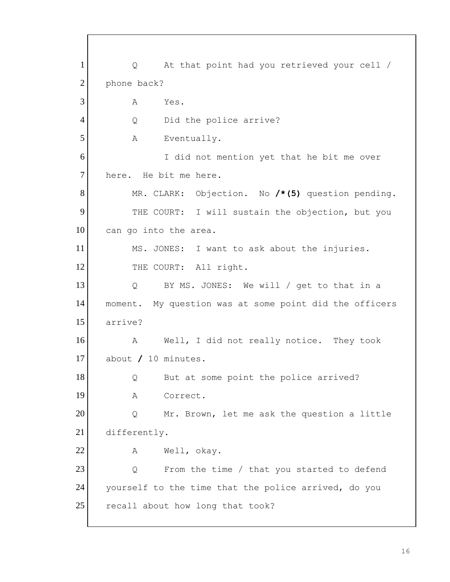1 2 3 4 5 6 7 8 9 10 11 12 13 14 15 16 17 18 19 20 21 22 23 24 25 Q At that point had you retrieved your cell / phone back? A Yes. Q Did the police arrive? A Eventually. I did not mention yet that he bit me over here. He bit me here. MR. CLARK: Objection. No **/\*(5)** question pending. THE COURT: I will sustain the objection, but you can go into the area. MS. JONES: I want to ask about the injuries. THE COURT: All right. Q BY MS. JONES: We will / get to that in a moment. My question was at some point did the officers arrive? A Well, I did not really notice. They took about **/** 10 minutes. Q But at some point the police arrived? A Correct. Q Mr. Brown, let me ask the question a little differently. A Well, okay. Q From the time / that you started to defend yourself to the time that the police arrived, do you recall about how long that took?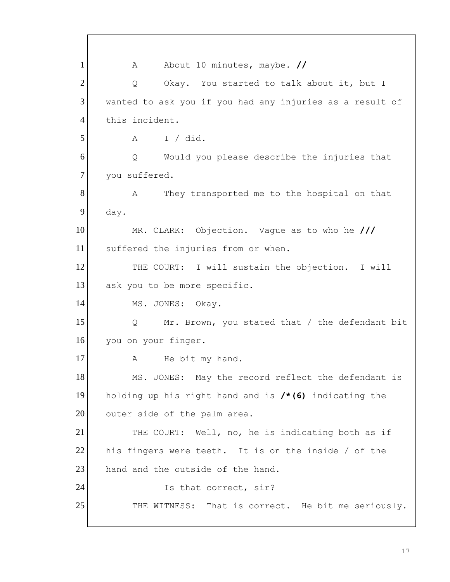1 2 3 4 5 6 7 8 9 10 11 12 13 14 15 16 17 18 19 20 21 22 23 24 25 A About 10 minutes, maybe. **//**  Q Okay. You started to talk about it, but I wanted to ask you if you had any injuries as a result of this incident. A I / did. Q Would you please describe the injuries that you suffered. A They transported me to the hospital on that day. MR. CLARK: Objection. Vague as to who he **///**  suffered the injuries from or when. THE COURT: I will sustain the objection. I will ask you to be more specific. MS. JONES: Okay. Q Mr. Brown, you stated that / the defendant bit you on your finger. A He bit my hand. MS. JONES: May the record reflect the defendant is holding up his right hand and is **/\*(6)** indicating the outer side of the palm area. THE COURT: Well, no, he is indicating both as if his fingers were teeth. It is on the inside / of the hand and the outside of the hand. Is that correct, sir? THE WITNESS: That is correct. He bit me seriously.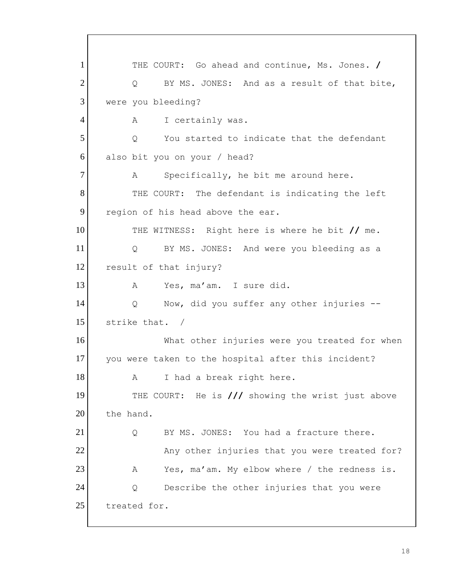1 THE COURT: Go ahead and continue, Ms. Jones. **/** 2 3 4 5 6 7 8 9 10 11 12 13 14 15 16 17 18 19 20 21 22 23 24 25 Q BY MS. JONES: And as a result of that bite, were you bleeding? A I certainly was. Q You started to indicate that the defendant also bit you on your / head? A Specifically, he bit me around here. THE COURT: The defendant is indicating the left region of his head above the ear. THE WITNESS: Right here is where he bit **//** me. Q BY MS. JONES: And were you bleeding as a result of that injury? A Yes, ma'am. I sure did. Q Now, did you suffer any other injuries - strike that. / What other injuries were you treated for when you were taken to the hospital after this incident? A I had a break right here. THE COURT: He is **///** showing the wrist just above the hand. Q BY MS. JONES: You had a fracture there. Any other injuries that you were treated for? A Yes, ma'am. My elbow where / the redness is. Q Describe the other injuries that you were treated for.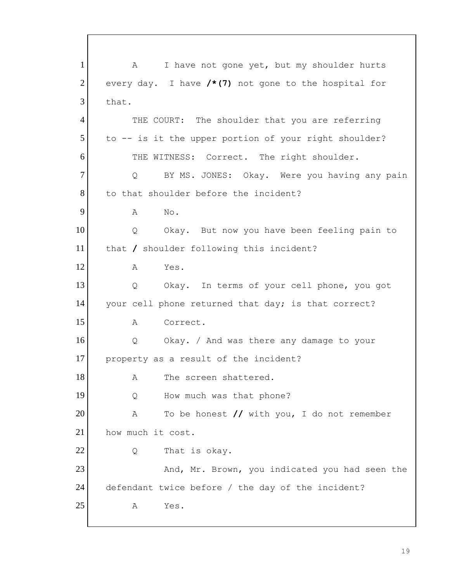1 2 3 4 5 6 7 8 9 10 11 12 13 14 15 16 17 18 19 20 21 22 23 24 25 A I have not gone yet, but my shoulder hurts every day. I have **/\*(7)** not gone to the hospital for that. THE COURT: The shoulder that you are referring to -- is it the upper portion of your right shoulder? THE WITNESS: Correct. The right shoulder. Q BY MS. JONES: Okay. Were you having any pain to that shoulder before the incident? A No. Q Okay. But now you have been feeling pain to that **/** shoulder following this incident? A Yes. Q Okay. In terms of your cell phone, you got your cell phone returned that day; is that correct? A Correct. Q Okay. / And was there any damage to your property as a result of the incident? A The screen shattered. Q How much was that phone? A To be honest **//** with you, I do not remember how much it cost. Q That is okay. And, Mr. Brown, you indicated you had seen the defendant twice before / the day of the incident? A Yes.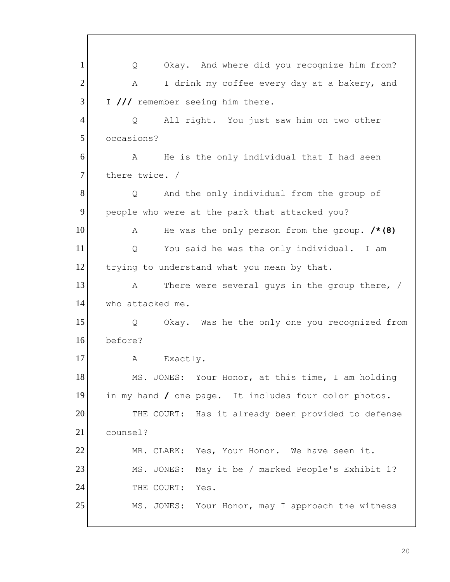trying to understand what you mean by that. 1 2 3 4 5 6 7 8 9 10 11 12 13 14 15 16 17 18 19 20 21 22 23 24 25 Q Okay. And where did you recognize him from? A I drink my coffee every day at a bakery, and I **///** remember seeing him there. Q All right. You just saw him on two other occasions? A He is the only individual that I had seen there twice. / Q And the only individual from the group of people who were at the park that attacked you? A He was the only person from the group. **/\*(8)**  Q You said he was the only individual. I am A There were several guys in the group there,  $/$ who attacked me. Q Okay. Was he the only one you recognized from before? A Exactly. MS. JONES: Your Honor, at this time, I am holding in my hand **/** one page. It includes four color photos. THE COURT: Has it already been provided to defense counsel? MR. CLARK: Yes, Your Honor. We have seen it. MS. JONES: May it be / marked People's Exhibit 1? THE COURT: Yes. MS. JONES: Your Honor, may I approach the witness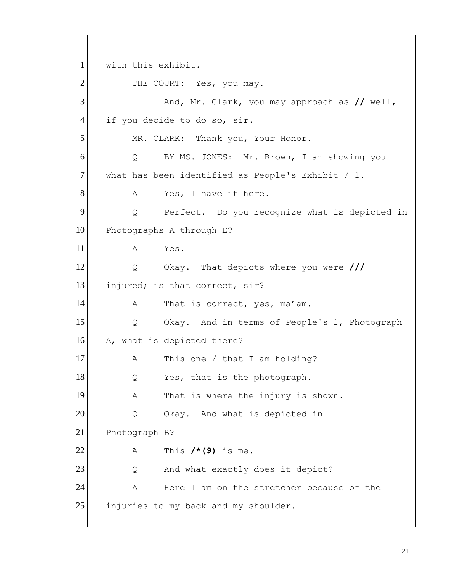1 2 3 4 5 6 7 8 9 10 11 12 13 14 15 16 17 18 19 20 21 22 23 24 25 with this exhibit.<br>THE COURT: Yes, you may. And, Mr. Clark, you may approach as **//** well, if you decide to do so, sir. MR. CLARK: Thank you, Your Honor. Q BY MS. JONES: Mr. Brown, I am showing you what has been identified as People's Exhibit / 1. A Yes, I have it here. Q Perfect. Do you recognize what is depicted in Photographs A through E? A Yes. Q Okay. That depicts where you were **///**  injured; is that correct, sir? A That is correct, yes, ma'am. Q Okay. And in terms of People's 1, Photograph A, what is depicted there? A This one / that I am holding? Q Yes, that is the photograph. A That is where the injury is shown. Q Okay. And what is depicted in Photograph B? A This **/\*(9)** is me. Q And what exactly does it depict? A Here I am on the stretcher because of the injuries to my back and my shoulder.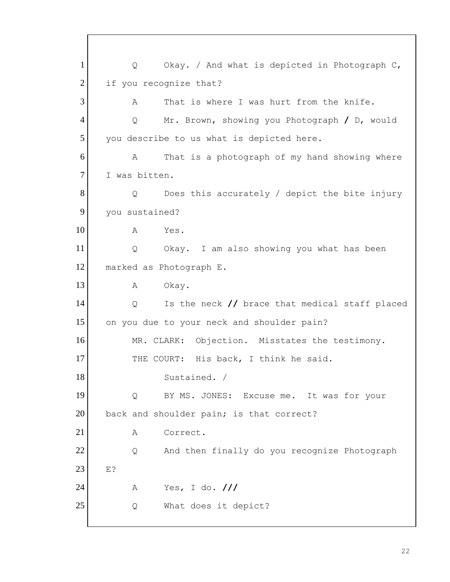you describe to us what is depicted here. 1 2 3 4 5 6 7 8 9 10 11 12 13 14 15 16 17 18 19 20 21 22 23 24 25 Q Okay. / And what is depicted in Photograph C, if you recognize that? A That is where I was hurt from the knife. Q Mr. Brown, showing you Photograph **/** D, would A That is a photograph of my hand showing where I was bitten. Q Does this accurately / depict the bite injury you sustained? A Yes. Q Okay. I am also showing you what has been marked as Photograph E. A Okay. Q Is the neck **//** brace that medical staff placed on you due to your neck and shoulder pain? MR. CLARK: Objection. Misstates the testimony. THE COURT: His back, I think he said. Sustained. / Q BY MS. JONES: Excuse me. It was for your back and shoulder pain; is that correct? A Correct. Q And then finally do you recognize Photograph E? A Yes, I do. **///**  Q What does it depict?